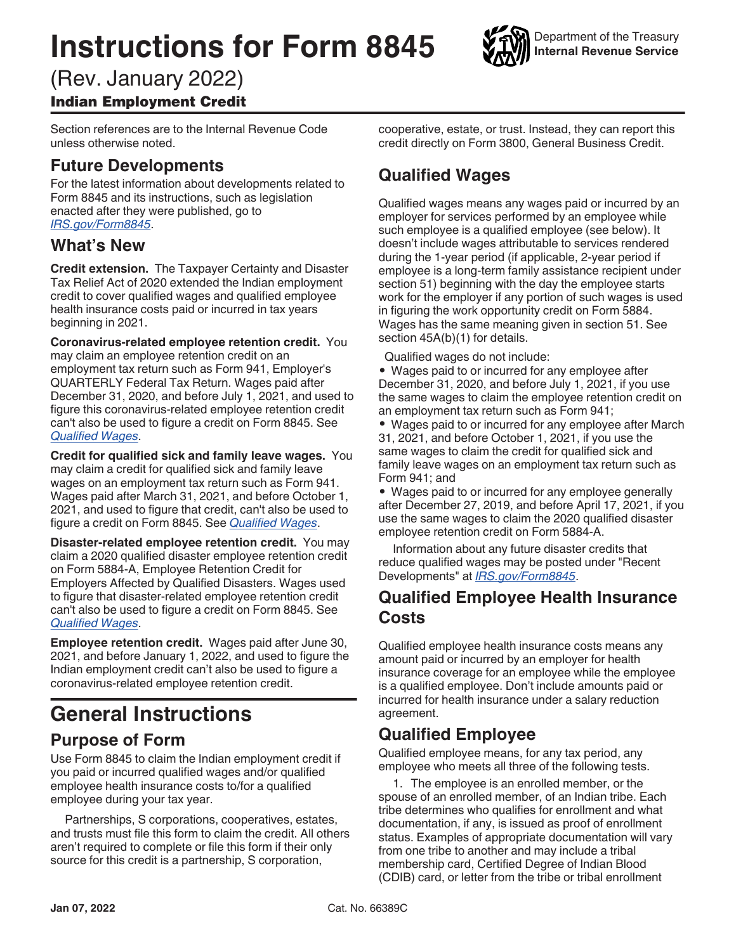# **Instructions for Form 8845**



#### (Rev. January 2022) Indian Employment Credit

Section references are to the Internal Revenue Code unless otherwise noted.

#### **Future Developments**

For the latest information about developments related to Form 8845 and its instructions, such as legislation enacted after they were published, go to *[IRS.gov/Form8845](https://www.irs.gov/forms-pubs/about-form-8845)*.

#### **What's New**

**Credit extension.** The Taxpayer Certainty and Disaster Tax Relief Act of 2020 extended the Indian employment credit to cover qualified wages and qualified employee health insurance costs paid or incurred in tax years beginning in 2021.

**Coronavirus-related employee retention credit.** You may claim an employee retention credit on an employment tax return such as Form 941, Employer's QUARTERLY Federal Tax Return. Wages paid after December 31, 2020, and before July 1, 2021, and used to figure this coronavirus-related employee retention credit can't also be used to figure a credit on Form 8845. See *Qualified Wages*.

**Credit for qualified sick and family leave wages.** You may claim a credit for qualified sick and family leave wages on an employment tax return such as Form 941. Wages paid after March 31, 2021, and before October 1, 2021, and used to figure that credit, can't also be used to figure a credit on Form 8845. See *Qualified Wages*.

**Disaster-related employee retention credit.** You may claim a 2020 qualified disaster employee retention credit on Form 5884-A, Employee Retention Credit for Employers Affected by Qualified Disasters. Wages used to figure that disaster-related employee retention credit can't also be used to figure a credit on Form 8845. See *Qualified Wages*.

**Employee retention credit.** Wages paid after June 30, 2021, and before January 1, 2022, and used to figure the Indian employment credit can't also be used to figure a coronavirus-related employee retention credit.

# **General Instructions**

#### **Purpose of Form**

Use Form 8845 to claim the Indian employment credit if you paid or incurred qualified wages and/or qualified employee health insurance costs to/for a qualified employee during your tax year.

Partnerships, S corporations, cooperatives, estates, and trusts must file this form to claim the credit. All others aren't required to complete or file this form if their only source for this credit is a partnership, S corporation,

cooperative, estate, or trust. Instead, they can report this credit directly on Form 3800, General Business Credit.

# **Qualified Wages**

Qualified wages means any wages paid or incurred by an employer for services performed by an employee while such employee is a qualified employee (see below). It doesn't include wages attributable to services rendered during the 1-year period (if applicable, 2-year period if employee is a long-term family assistance recipient under section 51) beginning with the day the employee starts work for the employer if any portion of such wages is used in figuring the work opportunity credit on Form 5884. Wages has the same meaning given in section 51. See section 45A(b)(1) for details.

Qualified wages do not include:

• Wages paid to or incurred for any employee after December 31, 2020, and before July 1, 2021, if you use the same wages to claim the employee retention credit on an employment tax return such as Form 941;

• Wages paid to or incurred for any employee after March 31, 2021, and before October 1, 2021, if you use the same wages to claim the credit for qualified sick and family leave wages on an employment tax return such as Form 941; and

• Wages paid to or incurred for any employee generally after December 27, 2019, and before April 17, 2021, if you use the same wages to claim the 2020 qualified disaster employee retention credit on Form 5884-A.

Information about any future disaster credits that reduce qualified wages may be posted under "Recent Developments" at *[IRS.gov/Form8845](https://www.IRS.gov/Form8845)*.

#### **Qualified Employee Health Insurance Costs**

Qualified employee health insurance costs means any amount paid or incurred by an employer for health insurance coverage for an employee while the employee is a qualified employee. Don't include amounts paid or incurred for health insurance under a salary reduction agreement.

## **Qualified Employee**

Qualified employee means, for any tax period, any employee who meets all three of the following tests.

1. The employee is an enrolled member, or the spouse of an enrolled member, of an Indian tribe. Each tribe determines who qualifies for enrollment and what documentation, if any, is issued as proof of enrollment status. Examples of appropriate documentation will vary from one tribe to another and may include a tribal membership card, Certified Degree of Indian Blood (CDIB) card, or letter from the tribe or tribal enrollment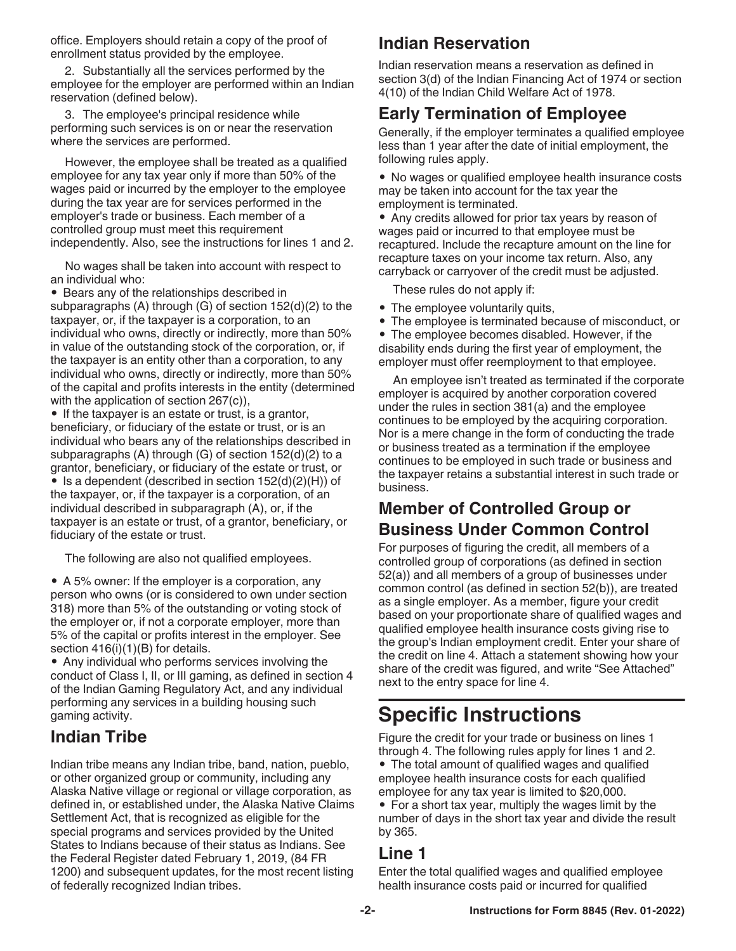office. Employers should retain a copy of the proof of enrollment status provided by the employee.

2. Substantially all the services performed by the employee for the employer are performed within an Indian reservation (defined below).

3. The employee's principal residence while performing such services is on or near the reservation where the services are performed.

However, the employee shall be treated as a qualified employee for any tax year only if more than 50% of the wages paid or incurred by the employer to the employee during the tax year are for services performed in the employer's trade or business. Each member of a controlled group must meet this requirement independently. Also, see the instructions for lines 1 and 2.

No wages shall be taken into account with respect to an individual who:

• Bears any of the relationships described in subparagraphs (A) through (G) of section 152(d)(2) to the taxpayer, or, if the taxpayer is a corporation, to an individual who owns, directly or indirectly, more than 50% in value of the outstanding stock of the corporation, or, if the taxpayer is an entity other than a corporation, to any individual who owns, directly or indirectly, more than 50% of the capital and profits interests in the entity (determined with the application of section 267(c)),

• If the taxpayer is an estate or trust, is a grantor, beneficiary, or fiduciary of the estate or trust, or is an individual who bears any of the relationships described in subparagraphs (A) through (G) of section 152(d)(2) to a grantor, beneficiary, or fiduciary of the estate or trust, or

• Is a dependent (described in section 152(d)(2)(H)) of the taxpayer, or, if the taxpayer is a corporation, of an individual described in subparagraph (A), or, if the taxpayer is an estate or trust, of a grantor, beneficiary, or fiduciary of the estate or trust.

The following are also not qualified employees.

• A 5% owner: If the employer is a corporation, any person who owns (or is considered to own under section 318) more than 5% of the outstanding or voting stock of the employer or, if not a corporate employer, more than 5% of the capital or profits interest in the employer. See section  $416(i)(1)(B)$  for details.

• Any individual who performs services involving the conduct of Class I, II, or III gaming, as defined in section 4 of the Indian Gaming Regulatory Act, and any individual performing any services in a building housing such gaming activity.

## **Indian Tribe**

Indian tribe means any Indian tribe, band, nation, pueblo, or other organized group or community, including any Alaska Native village or regional or village corporation, as defined in, or established under, the Alaska Native Claims Settlement Act, that is recognized as eligible for the special programs and services provided by the United States to Indians because of their status as Indians. See the Federal Register dated February 1, 2019, (84 FR 1200) and subsequent updates, for the most recent listing of federally recognized Indian tribes.

#### **Indian Reservation**

Indian reservation means a reservation as defined in section 3(d) of the Indian Financing Act of 1974 or section 4(10) of the Indian Child Welfare Act of 1978.

### **Early Termination of Employee**

Generally, if the employer terminates a qualified employee less than 1 year after the date of initial employment, the following rules apply.

• No wages or qualified employee health insurance costs may be taken into account for the tax year the employment is terminated.

• Any credits allowed for prior tax years by reason of wages paid or incurred to that employee must be recaptured. Include the recapture amount on the line for recapture taxes on your income tax return. Also, any carryback or carryover of the credit must be adjusted.

These rules do not apply if:

- The employee voluntarily quits,
- The employee is terminated because of misconduct, or

• The employee becomes disabled. However, if the disability ends during the first year of employment, the employer must offer reemployment to that employee.

An employee isn't treated as terminated if the corporate employer is acquired by another corporation covered under the rules in section 381(a) and the employee continues to be employed by the acquiring corporation. Nor is a mere change in the form of conducting the trade or business treated as a termination if the employee continues to be employed in such trade or business and the taxpayer retains a substantial interest in such trade or business.

#### **Member of Controlled Group or Business Under Common Control**

For purposes of figuring the credit, all members of a controlled group of corporations (as defined in section 52(a)) and all members of a group of businesses under common control (as defined in section 52(b)), are treated as a single employer. As a member, figure your credit based on your proportionate share of qualified wages and qualified employee health insurance costs giving rise to the group's Indian employment credit. Enter your share of the credit on line 4. Attach a statement showing how your share of the credit was figured, and write "See Attached" next to the entry space for line 4.

# **Specific Instructions**

Figure the credit for your trade or business on lines 1 through 4. The following rules apply for lines 1 and 2.

• The total amount of qualified wages and qualified employee health insurance costs for each qualified employee for any tax year is limited to \$20,000.

• For a short tax year, multiply the wages limit by the number of days in the short tax year and divide the result by 365.

#### **Line 1**

Enter the total qualified wages and qualified employee health insurance costs paid or incurred for qualified